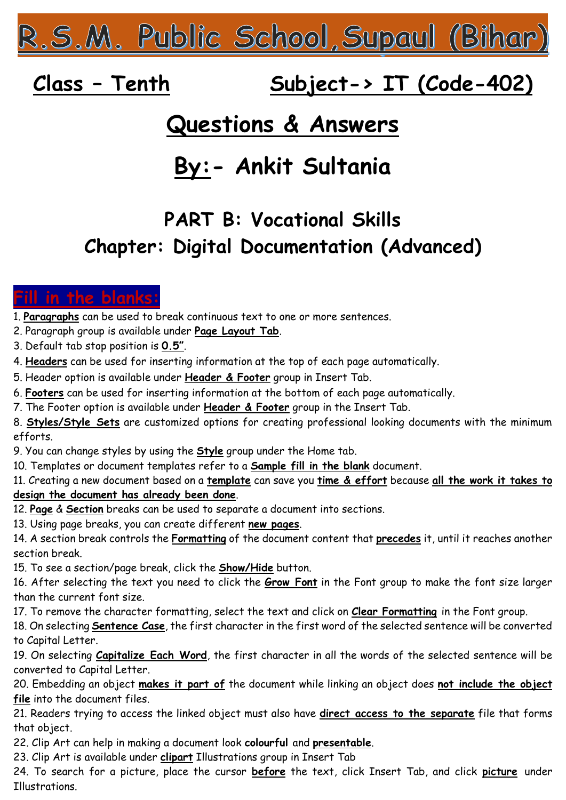<u> 2.5.M. Public School, Supaul (Bihar)</u>

# **Class – Tenth Subject-> IT (Code-402)**

## **Questions & Answers**

# **By:- Ankit Sultania**

### **PART B: Vocational Skills Chapter: Digital Documentation (Advanced)**

### in the blanks

- 1. **Paragraphs** can be used to break continuous text to one or more sentences.
- 2. Paragraph group is available under **Page Layout Tab**.
- 3. Default tab stop position is **0.5"**.
- 4. **Headers** can be used for inserting information at the top of each page automatically.
- 5. Header option is available under **Header & Footer** group in Insert Tab.
- 6. **Footers** can be used for inserting information at the bottom of each page automatically.
- 7. The Footer option is available under **Header & Footer** group in the Insert Tab.
- 8. **Styles/Style Sets** are customized options for creating professional looking documents with the minimum efforts.
- 9. You can change styles by using the **Style** group under the Home tab.
- 10. Templates or document templates refer to a **Sample fill in the blank** document.
- 11. Creating a new document based on a **template** can save you **time & effort** because **all the work it takes to**

### **design the document has already been done**.

12. **Page** & **Section** breaks can be used to separate a document into sections.

- 13. Using page breaks, you can create different **new pages**.
- 14. A section break controls the **Formatting** of the document content that **precedes** it, until it reaches another section break.
- 15. To see a section/page break, click the **Show/Hide** button.
- 16. After selecting the text you need to click the **Grow Font** in the Font group to make the font size larger than the current font size.
- 17. To remove the character formatting, select the text and click on **Clear Formatting** in the Font group.
- 18. On selecting **Sentence Case**, the first character in the first word of the selected sentence will be converted to Capital Letter.
- 19. On selecting **Capitalize Each Word**, the first character in all the words of the selected sentence will be converted to Capital Letter.
- 20. Embedding an object **makes it part of** the document while linking an object does **not include the object file** into the document files.
- 21. Readers trying to access the linked object must also have **direct access to the separate** file that forms that object.
- 22. Clip Art can help in making a document look **colourful** and **presentable**.
- 23. Clip Art is available under **clipart** Illustrations group in Insert Tab
- 24. To search for a picture, place the cursor **before** the text, click Insert Tab, and click **picture** under **T**llustrations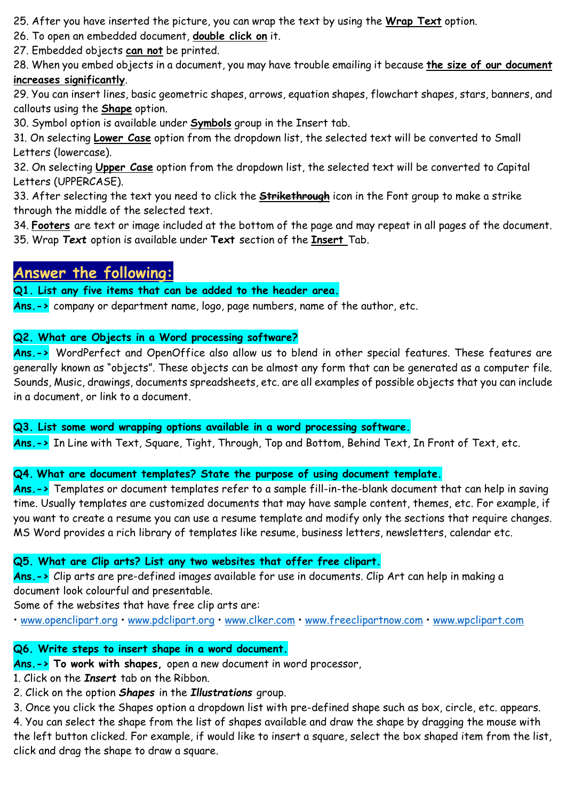25. After you have inserted the picture, you can wrap the text by using the **Wrap Text** option.

26. To open an embedded document, **double click on** it.

27. Embedded objects **can not** be printed.

28. When you embed objects in a document, you may have trouble emailing it because **the size of our document increases significantly**.

29. You can insert lines, basic geometric shapes, arrows, equation shapes, flowchart shapes, stars, banners, and callouts using the **Shape** option.

30. Symbol option is available under **Symbols** group in the Insert tab.

31. On selecting **Lower Case** option from the dropdown list, the selected text will be converted to Small Letters (lowercase).

32. On selecting **Upper Case** option from the dropdown list, the selected text will be converted to Capital Letters (UPPERCASE).

33. After selecting the text you need to click the **Strikethrough** icon in the Font group to make a strike through the middle of the selected text.

34. **Footers** are text or image included at the bottom of the page and may repeat in all pages of the document. 35. Wrap *Text* option is available under **Text** section of the **Insert** Tab.

### **Answer the following:**

**Q1. List any five items that can be added to the header area.**

**Ans.->** company or department name, logo, page numbers, name of the author, etc.

#### **Q2. What are Objects in a Word processing software?**

Ans.-> WordPerfect and OpenOffice also allow us to blend in other special features. These features are generally known as "objects". These objects can be almost any form that can be generated as a computer file. Sounds, Music, drawings, documents spreadsheets, etc. are all examples of possible objects that you can include in a document, or link to a document.

**Q3. List some word wrapping options available in a word processing software.**

**Ans.->** In Line with Text, Square, Tight, Through, Top and Bottom, Behind Text, In Front of Text, etc.

#### **Q4. What are document templates? State the purpose of using document template.**

**Ans.->** Templates or document templates refer to a sample fill-in-the-blank document that can help in saving time. Usually templates are customized documents that may have sample content, themes, etc. For example, if you want to create a resume you can use a resume template and modify only the sections that require changes. MS Word provides a rich library of templates like resume, business letters, newsletters, calendar etc.

#### **Q5. What are Clip arts? List any two websites that offer free clipart.**

**Ans.->** Clip arts are pre-defined images available for use in documents. Clip Art can help in making a document look colourful and presentable.

Some of the websites that have free clip arts are:

• [www.openclipart.org](http://www.openclipart.org/) • [www.pdclipart.org](http://www.pdclipart.org/) • [www.clker.com](http://www.clker.com/) • [www.freeclipartnow.com](http://www.freeclipartnow.com/) • [www.wpclipart.com](http://www.wpclipart.com/)

#### **Q6. Write steps to insert shape in a word document.**

- **Ans.-> To work with shapes,** open a new document in word processor,
- 1. Click on the *Insert* tab on the Ribbon.
- 2. Click on the option *Shapes* in the *Illustrations* group.

3. Once you click the Shapes option a dropdown list with pre-defined shape such as box, circle, etc. appears.

4. You can select the shape from the list of shapes available and draw the shape by dragging the mouse with the left button clicked. For example, if would like to insert a square, select the box shaped item from the list, click and drag the shape to draw a square.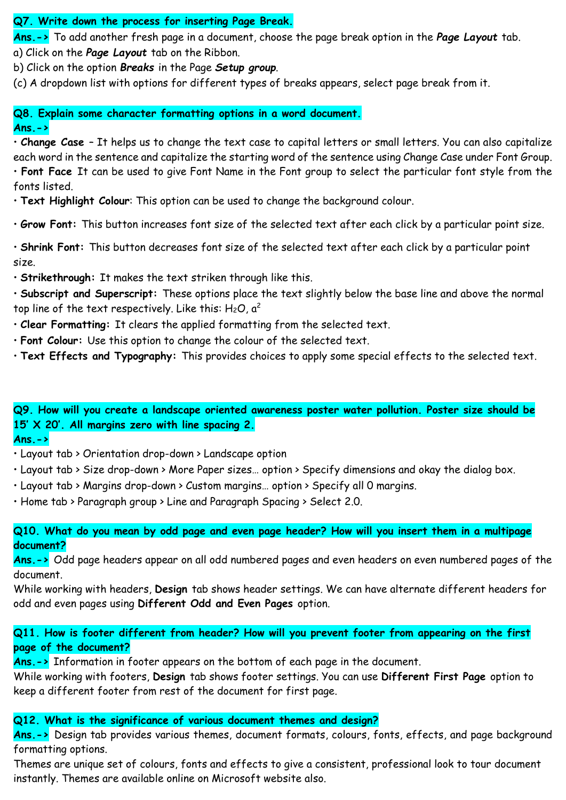#### **Q7. Write down the process for inserting Page Break.**

**Ans.->** To add another fresh page in a document, choose the page break option in the *Page Layout* tab.

a) Click on the *Page Layout* tab on the Ribbon.

b) Click on the option *Breaks* in the Page *Setup group*.

(c) A dropdown list with options for different types of breaks appears, select page break from it.

**Q8. Explain some character formatting options in a word document. Ans.->**

• **Change Case** – It helps us to change the text case to capital letters or small letters. You can also capitalize each word in the sentence and capitalize the starting word of the sentence using Change Case under Font Group. • **Font Face** It can be used to give Font Name in the Font group to select the particular font style from the fonts listed.

- **Text Highlight Colour**: This option can be used to change the background colour.
- **Grow Font:** This button increases font size of the selected text after each click by a particular point size.

• **Shrink Font:** This button decreases font size of the selected text after each click by a particular point size.

• **Strikethrough:** It makes the text striken through like this.

• **Subscript and Superscript:** These options place the text slightly below the base line and above the normal top line of the text respectively. Like this:  $H_2O$ ,  $a^2$ 

- **Clear Formatting:** It clears the applied formatting from the selected text.
- **Font Colour:** Use this option to change the colour of the selected text.
- **Text Effects and Typography:** This provides choices to apply some special effects to the selected text.

**Q9. How will you create a landscape oriented awareness poster water pollution. Poster size should be 15' X 20'. All margins zero with line spacing 2.** 

#### **Ans.->**

- Layout tab > Orientation drop-down > Landscape option
- Layout tab > Size drop-down > More Paper sizes… option > Specify dimensions and okay the dialog box.
- Layout tab > Margins drop-down > Custom margins… option > Specify all 0 margins.
- Home tab > Paragraph group > Line and Paragraph Spacing > Select 2.0.

**Q10. What do you mean by odd page and even page header? How will you insert them in a multipage document?** 

**Ans.->** Odd page headers appear on all odd numbered pages and even headers on even numbered pages of the document.

While working with headers, **Design** tab shows header settings. We can have alternate different headers for odd and even pages using **Different Odd and Even Pages** option.

#### **Q11. How is footer different from header? How will you prevent footer from appearing on the first page of the document?**

**Ans.->** Information in footer appears on the bottom of each page in the document.

While working with footers, **Design** tab shows footer settings. You can use **Different First Page** option to keep a different footer from rest of the document for first page.

#### **Q12. What is the significance of various document themes and design?**

**Ans.->** Design tab provides various themes, document formats, colours, fonts, effects, and page background formatting options.

Themes are unique set of colours, fonts and effects to give a consistent, professional look to tour document instantly. Themes are available online on Microsoft website also.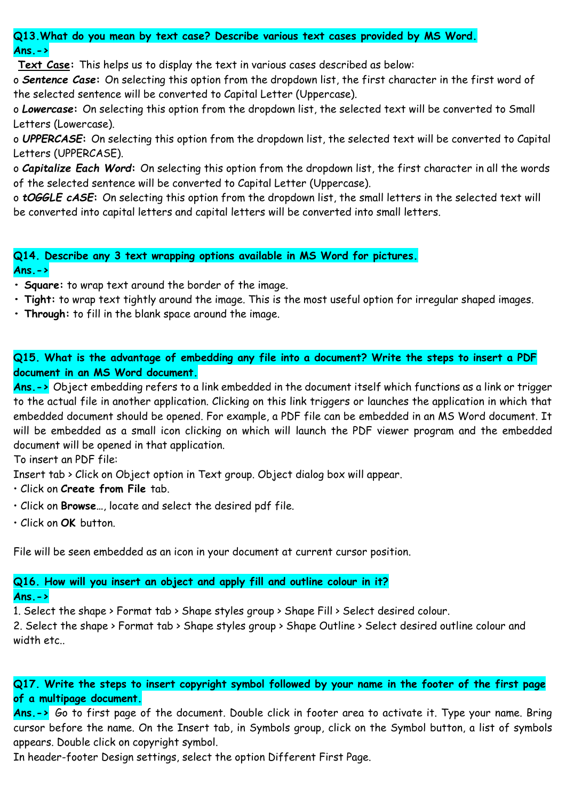**Q13.What do you mean by text case? Describe various text cases provided by MS Word. Ans.->**

**Text Case:** This helps us to display the text in various cases described as below:

o *Sentence Case***:** On selecting this option from the dropdown list, the first character in the first word of the selected sentence will be converted to Capital Letter (Uppercase).

o *Lowercase***:** On selecting this option from the dropdown list, the selected text will be converted to Small Letters (Lowercase).

o *UPPERCASE***:** On selecting this option from the dropdown list, the selected text will be converted to Capital Letters (UPPERCASE).

o *Capitalize Each Word***:** On selecting this option from the dropdown list, the first character in all the words of the selected sentence will be converted to Capital Letter (Uppercase).

o *tOGGLE cASE***:** On selecting this option from the dropdown list, the small letters in the selected text will be converted into capital letters and capital letters will be converted into small letters.

**Q14. Describe any 3 text wrapping options available in MS Word for pictures. Ans.->**

**• Square:** to wrap text around the border of the image.

- **Tight:** to wrap text tightly around the image. This is the most useful option for irregular shaped images.
- **Through:** to fill in the blank space around the image.

**Q15. What is the advantage of embedding any file into a document? Write the steps to insert a PDF document in an MS Word document.** 

**Ans.->** Object embedding refers to a link embedded in the document itself which functions as a link or trigger to the actual file in another application. Clicking on this link triggers or launches the application in which that embedded document should be opened. For example, a PDF file can be embedded in an MS Word document. It will be embedded as a small icon clicking on which will launch the PDF viewer program and the embedded document will be opened in that application.

To insert an PDF file:

Insert tab > Click on Object option in Text group. Object dialog box will appear.

- Click on **Create from File** tab.
- Click on **Browse…**, locate and select the desired pdf file.
- Click on **OK** button.

File will be seen embedded as an icon in your document at current cursor position.

#### **Q16. How will you insert an object and apply fill and outline colour in it? Ans.->**

1. Select the shape > Format tab > Shape styles group > Shape Fill > Select desired colour.

2. Select the shape > Format tab > Shape styles group > Shape Outline > Select desired outline colour and width etc..

**Q17. Write the steps to insert copyright symbol followed by your name in the footer of the first page of a multipage document.** 

**Ans.->** Go to first page of the document. Double click in footer area to activate it. Type your name. Bring cursor before the name. On the Insert tab, in Symbols group, click on the Symbol button, a list of symbols appears. Double click on copyright symbol.

In header-footer Design settings, select the option Different First Page.